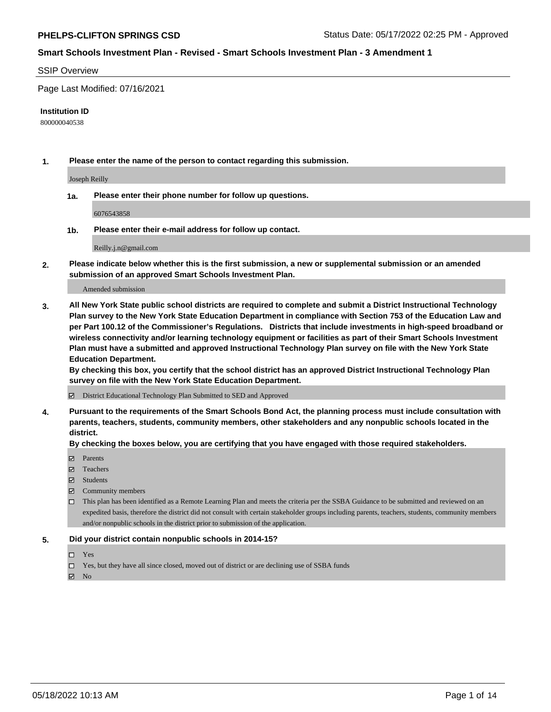#### SSIP Overview

Page Last Modified: 07/16/2021

#### **Institution ID**

800000040538

**1. Please enter the name of the person to contact regarding this submission.**

Joseph Reilly

**1a. Please enter their phone number for follow up questions.**

6076543858

**1b. Please enter their e-mail address for follow up contact.**

Reilly.j.n@gmail.com

**2. Please indicate below whether this is the first submission, a new or supplemental submission or an amended submission of an approved Smart Schools Investment Plan.**

Amended submission

**3. All New York State public school districts are required to complete and submit a District Instructional Technology Plan survey to the New York State Education Department in compliance with Section 753 of the Education Law and per Part 100.12 of the Commissioner's Regulations. Districts that include investments in high-speed broadband or wireless connectivity and/or learning technology equipment or facilities as part of their Smart Schools Investment Plan must have a submitted and approved Instructional Technology Plan survey on file with the New York State Education Department.** 

**By checking this box, you certify that the school district has an approved District Instructional Technology Plan survey on file with the New York State Education Department.**

District Educational Technology Plan Submitted to SED and Approved

**4. Pursuant to the requirements of the Smart Schools Bond Act, the planning process must include consultation with parents, teachers, students, community members, other stakeholders and any nonpublic schools located in the district.** 

**By checking the boxes below, you are certifying that you have engaged with those required stakeholders.**

- **□** Parents
- Teachers
- Students
- $\Xi$  Community members
- This plan has been identified as a Remote Learning Plan and meets the criteria per the SSBA Guidance to be submitted and reviewed on an expedited basis, therefore the district did not consult with certain stakeholder groups including parents, teachers, students, community members and/or nonpublic schools in the district prior to submission of the application.

#### **5. Did your district contain nonpublic schools in 2014-15?**

- Yes
- $\Box$  Yes, but they have all since closed, moved out of district or are declining use of SSBA funds

 $\boxtimes$  No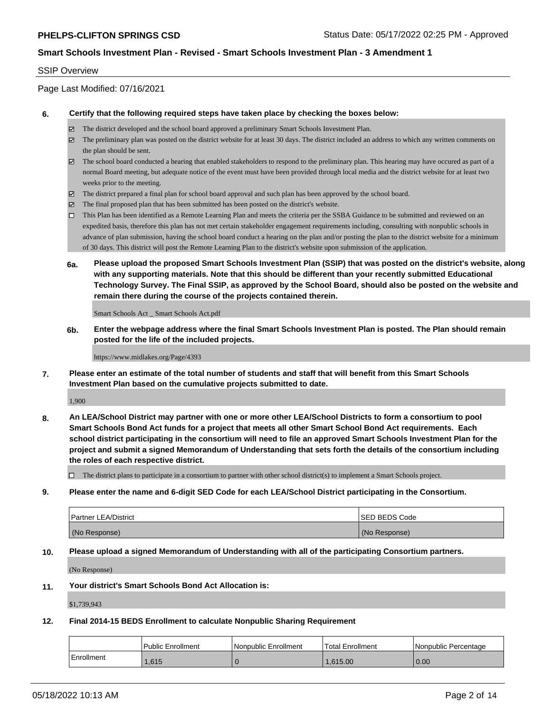#### SSIP Overview

Page Last Modified: 07/16/2021

#### **6. Certify that the following required steps have taken place by checking the boxes below:**

- The district developed and the school board approved a preliminary Smart Schools Investment Plan.
- $\boxtimes$  The preliminary plan was posted on the district website for at least 30 days. The district included an address to which any written comments on the plan should be sent.
- $\boxtimes$  The school board conducted a hearing that enabled stakeholders to respond to the preliminary plan. This hearing may have occured as part of a normal Board meeting, but adequate notice of the event must have been provided through local media and the district website for at least two weeks prior to the meeting.
- The district prepared a final plan for school board approval and such plan has been approved by the school board.
- $\boxtimes$  The final proposed plan that has been submitted has been posted on the district's website.
- This Plan has been identified as a Remote Learning Plan and meets the criteria per the SSBA Guidance to be submitted and reviewed on an expedited basis, therefore this plan has not met certain stakeholder engagement requirements including, consulting with nonpublic schools in advance of plan submission, having the school board conduct a hearing on the plan and/or posting the plan to the district website for a minimum of 30 days. This district will post the Remote Learning Plan to the district's website upon submission of the application.
- **6a. Please upload the proposed Smart Schools Investment Plan (SSIP) that was posted on the district's website, along with any supporting materials. Note that this should be different than your recently submitted Educational Technology Survey. The Final SSIP, as approved by the School Board, should also be posted on the website and remain there during the course of the projects contained therein.**

Smart Schools Act \_ Smart Schools Act.pdf

**6b. Enter the webpage address where the final Smart Schools Investment Plan is posted. The Plan should remain posted for the life of the included projects.**

#### https://www.midlakes.org/Page/4393

**7. Please enter an estimate of the total number of students and staff that will benefit from this Smart Schools Investment Plan based on the cumulative projects submitted to date.**

1,900

**8. An LEA/School District may partner with one or more other LEA/School Districts to form a consortium to pool Smart Schools Bond Act funds for a project that meets all other Smart School Bond Act requirements. Each school district participating in the consortium will need to file an approved Smart Schools Investment Plan for the project and submit a signed Memorandum of Understanding that sets forth the details of the consortium including the roles of each respective district.**

 $\Box$  The district plans to participate in a consortium to partner with other school district(s) to implement a Smart Schools project.

**9. Please enter the name and 6-digit SED Code for each LEA/School District participating in the Consortium.**

| <b>Partner LEA/District</b> | <b>ISED BEDS Code</b> |
|-----------------------------|-----------------------|
| (No Response)               | (No Response)         |

#### **10. Please upload a signed Memorandum of Understanding with all of the participating Consortium partners.**

(No Response)

#### **11. Your district's Smart Schools Bond Act Allocation is:**

\$1,739,943

#### **12. Final 2014-15 BEDS Enrollment to calculate Nonpublic Sharing Requirement**

|            | Public Enrollment | Nonpublic Enrollment | <b>Total Enrollment</b> | l Nonpublic Percentage |
|------------|-------------------|----------------------|-------------------------|------------------------|
| Enrollment | 1.615             |                      | 1.615.00                | 0.00                   |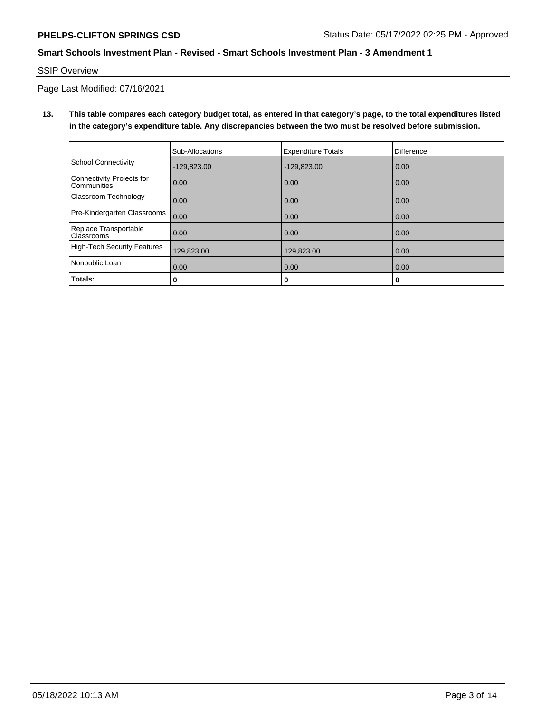SSIP Overview

Page Last Modified: 07/16/2021

**13. This table compares each category budget total, as entered in that category's page, to the total expenditures listed in the category's expenditure table. Any discrepancies between the two must be resolved before submission.**

|                                            | Sub-Allocations | <b>Expenditure Totals</b> | <b>Difference</b> |
|--------------------------------------------|-----------------|---------------------------|-------------------|
| <b>School Connectivity</b>                 | $-129.823.00$   | $-129,823.00$             | 0.00              |
| Connectivity Projects for<br>Communities   | 0.00            | 0.00                      | 0.00              |
| Classroom Technology                       | 0.00            | 0.00                      | 0.00              |
| Pre-Kindergarten Classrooms                | 0.00            | 0.00                      | 0.00              |
| Replace Transportable<br><b>Classrooms</b> | 0.00            | 0.00                      | 0.00              |
| <b>High-Tech Security Features</b>         | 129,823.00      | 129,823.00                | 0.00              |
| Nonpublic Loan                             | 0.00            | 0.00                      | 0.00              |
| Totals:                                    | 0               | 0                         | 0                 |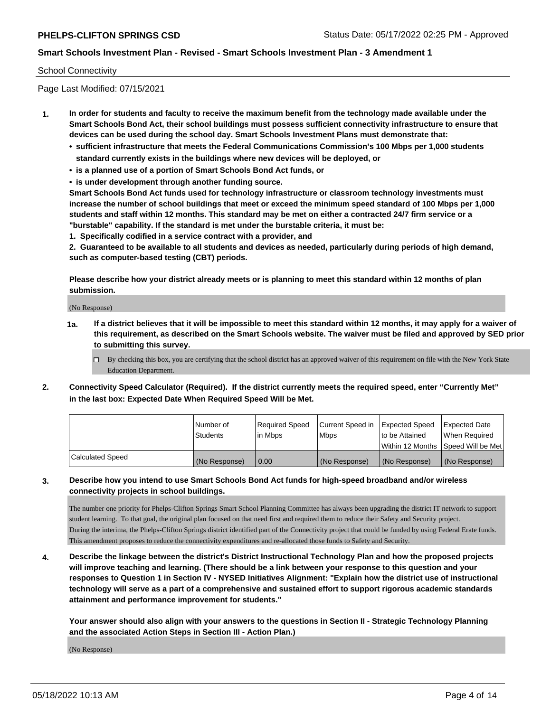# School Connectivity

Page Last Modified: 07/15/2021

- **1. In order for students and faculty to receive the maximum benefit from the technology made available under the Smart Schools Bond Act, their school buildings must possess sufficient connectivity infrastructure to ensure that devices can be used during the school day. Smart Schools Investment Plans must demonstrate that:**
	- **• sufficient infrastructure that meets the Federal Communications Commission's 100 Mbps per 1,000 students standard currently exists in the buildings where new devices will be deployed, or**
	- **• is a planned use of a portion of Smart Schools Bond Act funds, or**
	- **• is under development through another funding source.**

**Smart Schools Bond Act funds used for technology infrastructure or classroom technology investments must increase the number of school buildings that meet or exceed the minimum speed standard of 100 Mbps per 1,000 students and staff within 12 months. This standard may be met on either a contracted 24/7 firm service or a "burstable" capability. If the standard is met under the burstable criteria, it must be:**

**1. Specifically codified in a service contract with a provider, and**

**2. Guaranteed to be available to all students and devices as needed, particularly during periods of high demand, such as computer-based testing (CBT) periods.**

**Please describe how your district already meets or is planning to meet this standard within 12 months of plan submission.**

(No Response)

- **1a. If a district believes that it will be impossible to meet this standard within 12 months, it may apply for a waiver of this requirement, as described on the Smart Schools website. The waiver must be filed and approved by SED prior to submitting this survey.**
	- By checking this box, you are certifying that the school district has an approved waiver of this requirement on file with the New York State Education Department.
- **2. Connectivity Speed Calculator (Required). If the district currently meets the required speed, enter "Currently Met" in the last box: Expected Date When Required Speed Will be Met.**

|                  | l Number of<br><b>Students</b> | Required Speed<br>l in Mbps | Current Speed in<br><b>Mbps</b> | <b>Expected Speed</b><br>to be Attained | Expected Date<br>When Reauired |
|------------------|--------------------------------|-----------------------------|---------------------------------|-----------------------------------------|--------------------------------|
|                  |                                |                             |                                 | Within 12 Months 1Speed Will be Met     |                                |
| Calculated Speed | (No Response)                  | 0.00                        | (No Response)                   | (No Response)                           | (No Response)                  |

# **3. Describe how you intend to use Smart Schools Bond Act funds for high-speed broadband and/or wireless connectivity projects in school buildings.**

The number one priority for Phelps-Clifton Springs Smart School Planning Committee has always been upgrading the district IT network to support student learning. To that goal, the original plan focused on that need first and required them to reduce their Safety and Security project. During the interima, the Phelps-Clifton Springs district identified part of the Connectivity project that could be funded by using Federal Erate funds. This amendment proposes to reduce the connectivity expenditures and re-allocated those funds to Safety and Security.

**4. Describe the linkage between the district's District Instructional Technology Plan and how the proposed projects will improve teaching and learning. (There should be a link between your response to this question and your responses to Question 1 in Section IV - NYSED Initiatives Alignment: "Explain how the district use of instructional technology will serve as a part of a comprehensive and sustained effort to support rigorous academic standards attainment and performance improvement for students."** 

**Your answer should also align with your answers to the questions in Section II - Strategic Technology Planning and the associated Action Steps in Section III - Action Plan.)**

(No Response)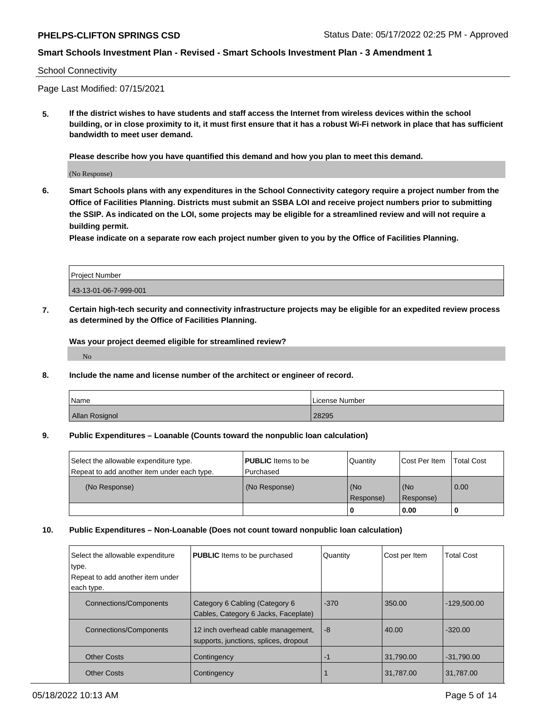#### School Connectivity

Page Last Modified: 07/15/2021

**5. If the district wishes to have students and staff access the Internet from wireless devices within the school building, or in close proximity to it, it must first ensure that it has a robust Wi-Fi network in place that has sufficient bandwidth to meet user demand.**

**Please describe how you have quantified this demand and how you plan to meet this demand.**

(No Response)

**6. Smart Schools plans with any expenditures in the School Connectivity category require a project number from the Office of Facilities Planning. Districts must submit an SSBA LOI and receive project numbers prior to submitting the SSIP. As indicated on the LOI, some projects may be eligible for a streamlined review and will not require a building permit.**

**Please indicate on a separate row each project number given to you by the Office of Facilities Planning.**

# Project Number 43-13-01-06-7-999-001

**7. Certain high-tech security and connectivity infrastructure projects may be eligible for an expedited review process as determined by the Office of Facilities Planning.**

**Was your project deemed eligible for streamlined review?**

No

#### **8. Include the name and license number of the architect or engineer of record.**

| Name                  | License Number |
|-----------------------|----------------|
| <b>Allan Rosignol</b> | 28295          |

#### **9. Public Expenditures – Loanable (Counts toward the nonpublic loan calculation)**

| Select the allowable expenditure type.      | <b>PUBLIC</b> Items to be | Quantity         | Cost Per Item    | <b>Total Cost</b> |
|---------------------------------------------|---------------------------|------------------|------------------|-------------------|
| Repeat to add another item under each type. | l Purchased               |                  |                  |                   |
| (No Response)                               | (No Response)             | (No<br>Response) | (No<br>Response) | 0.00              |
|                                             |                           | 0                | 0.00             |                   |

#### **10. Public Expenditures – Non-Loanable (Does not count toward nonpublic loan calculation)**

| Select the allowable expenditure<br>type.<br>Repeat to add another item under<br>each type. | <b>PUBLIC</b> Items to be purchased                                         | Quantity | Cost per Item | <b>Total Cost</b> |
|---------------------------------------------------------------------------------------------|-----------------------------------------------------------------------------|----------|---------------|-------------------|
| <b>Connections/Components</b>                                                               | Category 6 Cabling (Category 6<br>Cables, Category 6 Jacks, Faceplate)      | $-370$   | 350.00        | $-129.500.00$     |
| <b>Connections/Components</b>                                                               | 12 inch overhead cable management,<br>supports, junctions, splices, dropout | -8       | 40.00         | $-320.00$         |
| <b>Other Costs</b>                                                                          | Contingency                                                                 | -1       | 31,790.00     | $-31,790.00$      |
| <b>Other Costs</b>                                                                          | Contingency                                                                 |          | 31,787.00     | 31,787.00         |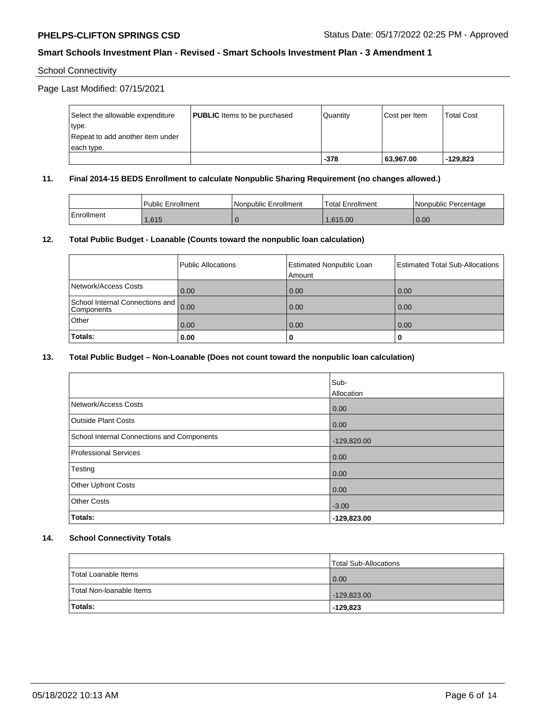# School Connectivity

Page Last Modified: 07/15/2021

| Select the allowable expenditure | <b>PUBLIC</b> Items to be purchased | l Quantitv | Cost per Item | <b>Total Cost</b> |
|----------------------------------|-------------------------------------|------------|---------------|-------------------|
| type.                            |                                     |            |               |                   |
| Repeat to add another item under |                                     |            |               |                   |
| each type.                       |                                     |            |               |                   |
|                                  |                                     | $-378$     | 63,967.00     | $-129.823$        |

### **11. Final 2014-15 BEDS Enrollment to calculate Nonpublic Sharing Requirement (no changes allowed.)**

|            | Public Enrollment | l Nonpublic Enrollment | Total Enrollment | l Nonpublic Percentage |
|------------|-------------------|------------------------|------------------|------------------------|
| Enrollment | .615              |                        | 1.615.00         | 0.00                   |

### **12. Total Public Budget - Loanable (Counts toward the nonpublic loan calculation)**

|                                                    | Public Allocations | <b>Estimated Nonpublic Loan</b><br>Amount | Estimated Total Sub-Allocations |
|----------------------------------------------------|--------------------|-------------------------------------------|---------------------------------|
| Network/Access Costs                               | 0.00               | 0.00                                      | 0.00                            |
| School Internal Connections and 0.00<br>Components |                    | 0.00                                      | 0.00                            |
| Other                                              | 0.00               | 0.00                                      | 0.00                            |
| Totals:                                            | 0.00               | o                                         | 0                               |

### **13. Total Public Budget – Non-Loanable (Does not count toward the nonpublic loan calculation)**

|                                            | Sub-<br>Allocation |
|--------------------------------------------|--------------------|
|                                            |                    |
| Network/Access Costs                       | 0.00               |
| <b>Outside Plant Costs</b>                 | 0.00               |
| School Internal Connections and Components | $-129,820.00$      |
| Professional Services                      | 0.00               |
| Testing                                    | 0.00               |
| <b>Other Upfront Costs</b>                 | 0.00               |
| <b>Other Costs</b>                         | $-3.00$            |
| Totals:                                    | $-129,823.00$      |

#### **14. School Connectivity Totals**

|                          | Total Sub-Allocations |
|--------------------------|-----------------------|
| Total Loanable Items     | 0.00                  |
| Total Non-Ioanable Items | $-129,823.00$         |
| Totals:                  | -129,823              |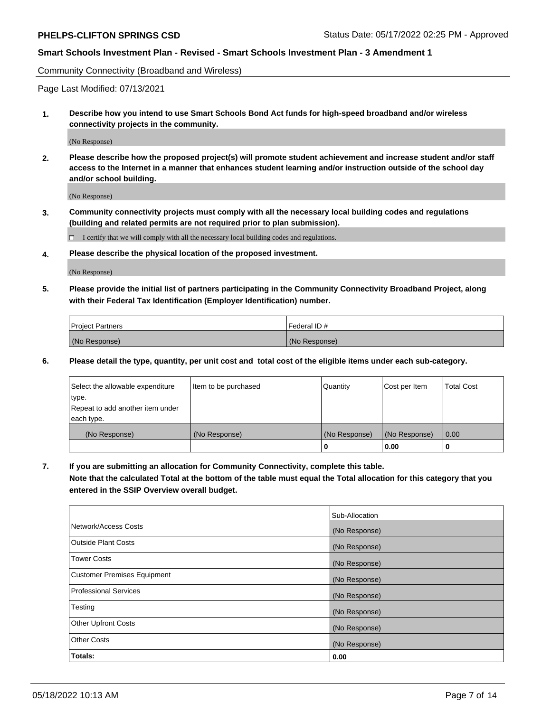Community Connectivity (Broadband and Wireless)

Page Last Modified: 07/13/2021

**1. Describe how you intend to use Smart Schools Bond Act funds for high-speed broadband and/or wireless connectivity projects in the community.**

(No Response)

**2. Please describe how the proposed project(s) will promote student achievement and increase student and/or staff access to the Internet in a manner that enhances student learning and/or instruction outside of the school day and/or school building.**

(No Response)

**3. Community connectivity projects must comply with all the necessary local building codes and regulations (building and related permits are not required prior to plan submission).**

 $\Box$  I certify that we will comply with all the necessary local building codes and regulations.

**4. Please describe the physical location of the proposed investment.**

(No Response)

**5. Please provide the initial list of partners participating in the Community Connectivity Broadband Project, along with their Federal Tax Identification (Employer Identification) number.**

| <b>Project Partners</b> | Federal ID#   |
|-------------------------|---------------|
| (No Response)           | (No Response) |

**6. Please detail the type, quantity, per unit cost and total cost of the eligible items under each sub-category.**

| Select the allowable expenditure | Item to be purchased | Quantity      | Cost per Item | <b>Total Cost</b> |
|----------------------------------|----------------------|---------------|---------------|-------------------|
| type.                            |                      |               |               |                   |
| Repeat to add another item under |                      |               |               |                   |
| each type.                       |                      |               |               |                   |
| (No Response)                    | (No Response)        | (No Response) | (No Response) | 0.00              |
|                                  |                      | 0             | 0.00          |                   |

**7. If you are submitting an allocation for Community Connectivity, complete this table.**

**Note that the calculated Total at the bottom of the table must equal the Total allocation for this category that you entered in the SSIP Overview overall budget.**

|                                    | Sub-Allocation |
|------------------------------------|----------------|
| Network/Access Costs               | (No Response)  |
| Outside Plant Costs                | (No Response)  |
| Tower Costs                        | (No Response)  |
| <b>Customer Premises Equipment</b> | (No Response)  |
| Professional Services              | (No Response)  |
| Testing                            | (No Response)  |
| <b>Other Upfront Costs</b>         | (No Response)  |
| <b>Other Costs</b>                 | (No Response)  |
| Totals:                            | 0.00           |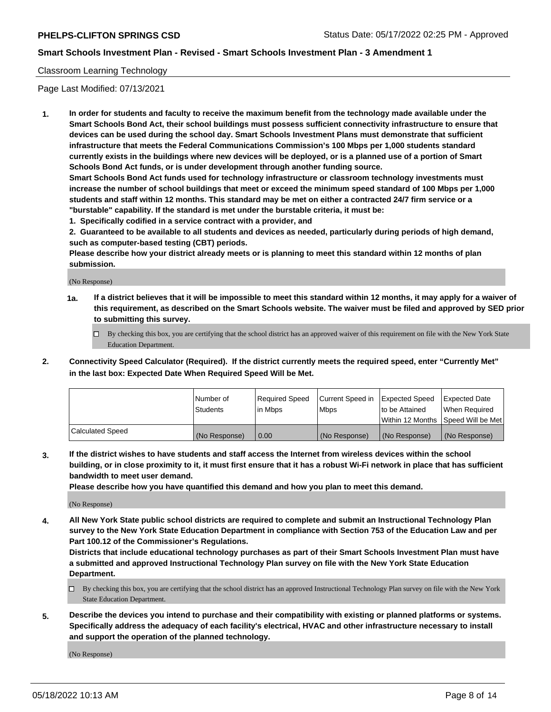# Classroom Learning Technology

Page Last Modified: 07/13/2021

**1. In order for students and faculty to receive the maximum benefit from the technology made available under the Smart Schools Bond Act, their school buildings must possess sufficient connectivity infrastructure to ensure that devices can be used during the school day. Smart Schools Investment Plans must demonstrate that sufficient infrastructure that meets the Federal Communications Commission's 100 Mbps per 1,000 students standard currently exists in the buildings where new devices will be deployed, or is a planned use of a portion of Smart Schools Bond Act funds, or is under development through another funding source.**

**Smart Schools Bond Act funds used for technology infrastructure or classroom technology investments must increase the number of school buildings that meet or exceed the minimum speed standard of 100 Mbps per 1,000 students and staff within 12 months. This standard may be met on either a contracted 24/7 firm service or a "burstable" capability. If the standard is met under the burstable criteria, it must be:**

**1. Specifically codified in a service contract with a provider, and**

**2. Guaranteed to be available to all students and devices as needed, particularly during periods of high demand, such as computer-based testing (CBT) periods.**

**Please describe how your district already meets or is planning to meet this standard within 12 months of plan submission.**

(No Response)

- **1a. If a district believes that it will be impossible to meet this standard within 12 months, it may apply for a waiver of this requirement, as described on the Smart Schools website. The waiver must be filed and approved by SED prior to submitting this survey.**
	- By checking this box, you are certifying that the school district has an approved waiver of this requirement on file with the New York State Education Department.
- **2. Connectivity Speed Calculator (Required). If the district currently meets the required speed, enter "Currently Met" in the last box: Expected Date When Required Speed Will be Met.**

|                  | Number of     | Required Speed | Current Speed in | Expected Speed | Expected Date                           |
|------------------|---------------|----------------|------------------|----------------|-----------------------------------------|
|                  | Students      | lin Mbps       | <b>Mbps</b>      | to be Attained | When Required                           |
|                  |               |                |                  |                | l Within 12 Months ISpeed Will be Met l |
| Calculated Speed | (No Response) | 0.00           | (No Response)    | (No Response)  | (No Response)                           |

**3. If the district wishes to have students and staff access the Internet from wireless devices within the school building, or in close proximity to it, it must first ensure that it has a robust Wi-Fi network in place that has sufficient bandwidth to meet user demand.**

**Please describe how you have quantified this demand and how you plan to meet this demand.**

(No Response)

**4. All New York State public school districts are required to complete and submit an Instructional Technology Plan survey to the New York State Education Department in compliance with Section 753 of the Education Law and per Part 100.12 of the Commissioner's Regulations.**

**Districts that include educational technology purchases as part of their Smart Schools Investment Plan must have a submitted and approved Instructional Technology Plan survey on file with the New York State Education Department.**

- By checking this box, you are certifying that the school district has an approved Instructional Technology Plan survey on file with the New York State Education Department.
- **5. Describe the devices you intend to purchase and their compatibility with existing or planned platforms or systems. Specifically address the adequacy of each facility's electrical, HVAC and other infrastructure necessary to install and support the operation of the planned technology.**

(No Response)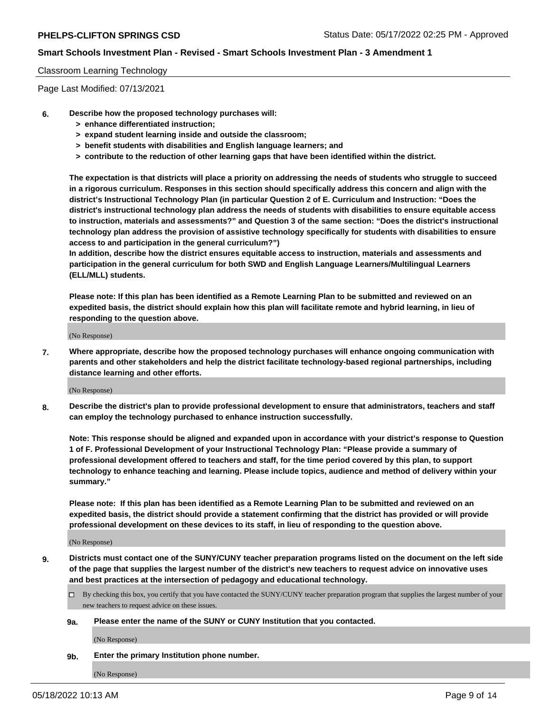#### Classroom Learning Technology

Page Last Modified: 07/13/2021

- **6. Describe how the proposed technology purchases will:**
	- **> enhance differentiated instruction;**
	- **> expand student learning inside and outside the classroom;**
	- **> benefit students with disabilities and English language learners; and**
	- **> contribute to the reduction of other learning gaps that have been identified within the district.**

**The expectation is that districts will place a priority on addressing the needs of students who struggle to succeed in a rigorous curriculum. Responses in this section should specifically address this concern and align with the district's Instructional Technology Plan (in particular Question 2 of E. Curriculum and Instruction: "Does the district's instructional technology plan address the needs of students with disabilities to ensure equitable access to instruction, materials and assessments?" and Question 3 of the same section: "Does the district's instructional technology plan address the provision of assistive technology specifically for students with disabilities to ensure access to and participation in the general curriculum?")**

**In addition, describe how the district ensures equitable access to instruction, materials and assessments and participation in the general curriculum for both SWD and English Language Learners/Multilingual Learners (ELL/MLL) students.**

**Please note: If this plan has been identified as a Remote Learning Plan to be submitted and reviewed on an expedited basis, the district should explain how this plan will facilitate remote and hybrid learning, in lieu of responding to the question above.**

(No Response)

**7. Where appropriate, describe how the proposed technology purchases will enhance ongoing communication with parents and other stakeholders and help the district facilitate technology-based regional partnerships, including distance learning and other efforts.**

(No Response)

**8. Describe the district's plan to provide professional development to ensure that administrators, teachers and staff can employ the technology purchased to enhance instruction successfully.**

**Note: This response should be aligned and expanded upon in accordance with your district's response to Question 1 of F. Professional Development of your Instructional Technology Plan: "Please provide a summary of professional development offered to teachers and staff, for the time period covered by this plan, to support technology to enhance teaching and learning. Please include topics, audience and method of delivery within your summary."**

**Please note: If this plan has been identified as a Remote Learning Plan to be submitted and reviewed on an expedited basis, the district should provide a statement confirming that the district has provided or will provide professional development on these devices to its staff, in lieu of responding to the question above.**

(No Response)

**9. Districts must contact one of the SUNY/CUNY teacher preparation programs listed on the document on the left side of the page that supplies the largest number of the district's new teachers to request advice on innovative uses and best practices at the intersection of pedagogy and educational technology.**

- By checking this box, you certify that you have contacted the SUNY/CUNY teacher preparation program that supplies the largest number of your new teachers to request advice on these issues.
- **9a. Please enter the name of the SUNY or CUNY Institution that you contacted.**

(No Response)

**9b. Enter the primary Institution phone number.**

(No Response)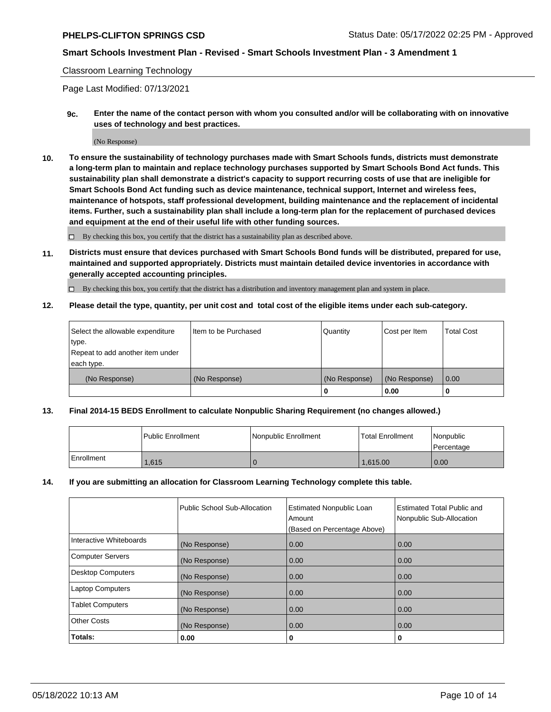#### Classroom Learning Technology

Page Last Modified: 07/13/2021

**9c. Enter the name of the contact person with whom you consulted and/or will be collaborating with on innovative uses of technology and best practices.**

(No Response)

**10. To ensure the sustainability of technology purchases made with Smart Schools funds, districts must demonstrate a long-term plan to maintain and replace technology purchases supported by Smart Schools Bond Act funds. This sustainability plan shall demonstrate a district's capacity to support recurring costs of use that are ineligible for Smart Schools Bond Act funding such as device maintenance, technical support, Internet and wireless fees, maintenance of hotspots, staff professional development, building maintenance and the replacement of incidental items. Further, such a sustainability plan shall include a long-term plan for the replacement of purchased devices and equipment at the end of their useful life with other funding sources.**

 $\square$  By checking this box, you certify that the district has a sustainability plan as described above.

**11. Districts must ensure that devices purchased with Smart Schools Bond funds will be distributed, prepared for use, maintained and supported appropriately. Districts must maintain detailed device inventories in accordance with generally accepted accounting principles.**

By checking this box, you certify that the district has a distribution and inventory management plan and system in place.

**12. Please detail the type, quantity, per unit cost and total cost of the eligible items under each sub-category.**

| Select the allowable expenditure | I Item to be Purchased | Quantity      | Cost per Item | Total Cost |
|----------------------------------|------------------------|---------------|---------------|------------|
| type.                            |                        |               |               |            |
| Repeat to add another item under |                        |               |               |            |
| each type.                       |                        |               |               |            |
| (No Response)                    | (No Response)          | (No Response) | (No Response) | 0.00       |
|                                  |                        | u             | 0.00          |            |

#### **13. Final 2014-15 BEDS Enrollment to calculate Nonpublic Sharing Requirement (no changes allowed.)**

|            | <b>Public Enrollment</b> | Nonpublic Enrollment | <b>Total Enrollment</b> | Nonpublic<br>l Percentage |
|------------|--------------------------|----------------------|-------------------------|---------------------------|
| Enrollment | .615                     |                      | 1.615.00                | 0.00                      |

#### **14. If you are submitting an allocation for Classroom Learning Technology complete this table.**

|                          | Public School Sub-Allocation | <b>Estimated Nonpublic Loan</b><br>Amount | <b>Estimated Total Public and</b><br>Nonpublic Sub-Allocation |
|--------------------------|------------------------------|-------------------------------------------|---------------------------------------------------------------|
|                          |                              | (Based on Percentage Above)               |                                                               |
| Interactive Whiteboards  | (No Response)                | 0.00                                      | 0.00                                                          |
| <b>Computer Servers</b>  | (No Response)                | 0.00                                      | 0.00                                                          |
| <b>Desktop Computers</b> | (No Response)                | 0.00                                      | 0.00                                                          |
| <b>Laptop Computers</b>  | (No Response)                | 0.00                                      | 0.00                                                          |
| <b>Tablet Computers</b>  | (No Response)                | 0.00                                      | 0.00                                                          |
| <b>Other Costs</b>       | (No Response)                | 0.00                                      | 0.00                                                          |
| Totals:                  | 0.00                         | 0                                         | 0                                                             |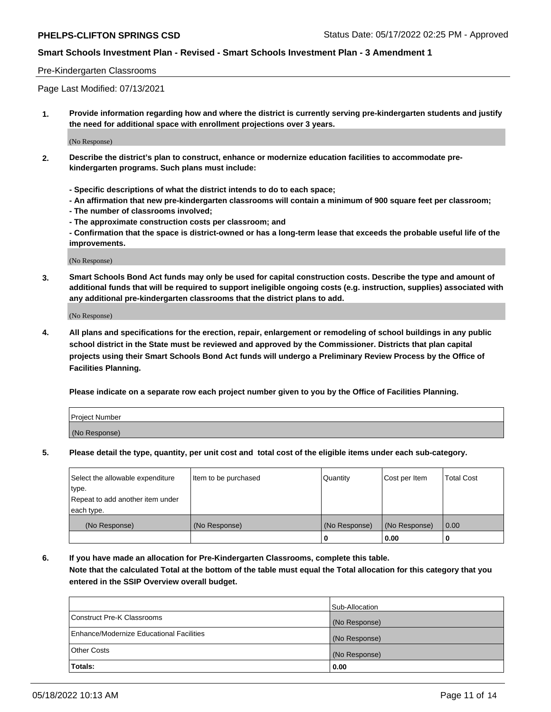#### Pre-Kindergarten Classrooms

Page Last Modified: 07/13/2021

**1. Provide information regarding how and where the district is currently serving pre-kindergarten students and justify the need for additional space with enrollment projections over 3 years.**

(No Response)

- **2. Describe the district's plan to construct, enhance or modernize education facilities to accommodate prekindergarten programs. Such plans must include:**
	- **Specific descriptions of what the district intends to do to each space;**
	- **An affirmation that new pre-kindergarten classrooms will contain a minimum of 900 square feet per classroom;**
	- **The number of classrooms involved;**
	- **The approximate construction costs per classroom; and**
	- **Confirmation that the space is district-owned or has a long-term lease that exceeds the probable useful life of the improvements.**

(No Response)

**3. Smart Schools Bond Act funds may only be used for capital construction costs. Describe the type and amount of additional funds that will be required to support ineligible ongoing costs (e.g. instruction, supplies) associated with any additional pre-kindergarten classrooms that the district plans to add.**

(No Response)

**4. All plans and specifications for the erection, repair, enlargement or remodeling of school buildings in any public school district in the State must be reviewed and approved by the Commissioner. Districts that plan capital projects using their Smart Schools Bond Act funds will undergo a Preliminary Review Process by the Office of Facilities Planning.**

**Please indicate on a separate row each project number given to you by the Office of Facilities Planning.**

| Project Number |  |
|----------------|--|
| (No Response)  |  |

**5. Please detail the type, quantity, per unit cost and total cost of the eligible items under each sub-category.**

| Select the allowable expenditure | Item to be purchased | Quantity      | Cost per Item | <b>Total Cost</b> |
|----------------------------------|----------------------|---------------|---------------|-------------------|
| type.                            |                      |               |               |                   |
| Repeat to add another item under |                      |               |               |                   |
| each type.                       |                      |               |               |                   |
| (No Response)                    | (No Response)        | (No Response) | (No Response) | 0.00              |
|                                  |                      | 0             | 0.00          |                   |

**6. If you have made an allocation for Pre-Kindergarten Classrooms, complete this table.**

**Note that the calculated Total at the bottom of the table must equal the Total allocation for this category that you entered in the SSIP Overview overall budget.**

|                                          | Sub-Allocation |
|------------------------------------------|----------------|
| Construct Pre-K Classrooms               | (No Response)  |
| Enhance/Modernize Educational Facilities | (No Response)  |
| <b>Other Costs</b>                       | (No Response)  |
| Totals:                                  | 0.00           |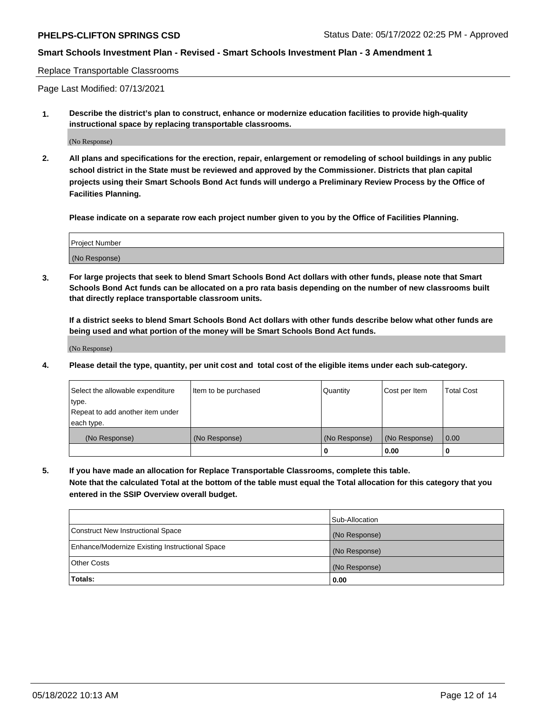Replace Transportable Classrooms

Page Last Modified: 07/13/2021

**1. Describe the district's plan to construct, enhance or modernize education facilities to provide high-quality instructional space by replacing transportable classrooms.**

(No Response)

**2. All plans and specifications for the erection, repair, enlargement or remodeling of school buildings in any public school district in the State must be reviewed and approved by the Commissioner. Districts that plan capital projects using their Smart Schools Bond Act funds will undergo a Preliminary Review Process by the Office of Facilities Planning.**

**Please indicate on a separate row each project number given to you by the Office of Facilities Planning.**

| <b>Project Number</b> |  |
|-----------------------|--|
| (No Response)         |  |

**3. For large projects that seek to blend Smart Schools Bond Act dollars with other funds, please note that Smart Schools Bond Act funds can be allocated on a pro rata basis depending on the number of new classrooms built that directly replace transportable classroom units.**

**If a district seeks to blend Smart Schools Bond Act dollars with other funds describe below what other funds are being used and what portion of the money will be Smart Schools Bond Act funds.**

(No Response)

**4. Please detail the type, quantity, per unit cost and total cost of the eligible items under each sub-category.**

| Select the allowable expenditure<br>type.<br>Repeat to add another item under | Item to be purchased | Quantity      | Cost per Item | <b>Total Cost</b> |
|-------------------------------------------------------------------------------|----------------------|---------------|---------------|-------------------|
| each type.<br>(No Response)                                                   | (No Response)        | (No Response) | (No Response) | 0.00              |
|                                                                               |                      | 0             | 0.00          |                   |

**5. If you have made an allocation for Replace Transportable Classrooms, complete this table.**

**Note that the calculated Total at the bottom of the table must equal the Total allocation for this category that you entered in the SSIP Overview overall budget.**

|                                                | Sub-Allocation |
|------------------------------------------------|----------------|
| Construct New Instructional Space              | (No Response)  |
| Enhance/Modernize Existing Instructional Space | (No Response)  |
| <b>Other Costs</b>                             | (No Response)  |
| Totals:                                        | 0.00           |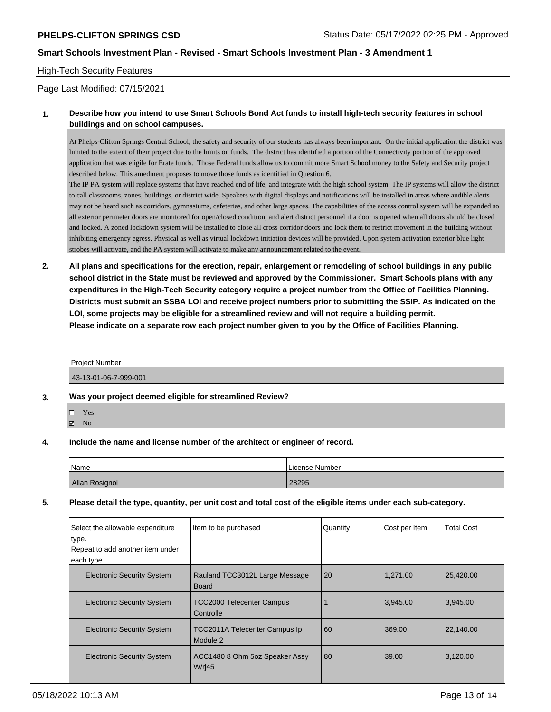# High-Tech Security Features

Page Last Modified: 07/15/2021

# **1. Describe how you intend to use Smart Schools Bond Act funds to install high-tech security features in school buildings and on school campuses.**

At Phelps-Clifton Springs Central School, the safety and security of our students has always been important. On the initial application the district was limited to the extent of their project due to the limits on funds. The district has identified a portion of the Connectivity portion of the approved application that was eligile for Erate funds. Those Federal funds allow us to commit more Smart School money to the Safety and Security project described below. This amedment proposes to move those funds as identified in Question 6.

The IP PA system will replace systems that have reached end of life, and integrate with the high school system. The IP systems will allow the district to call classrooms, zones, buildings, or district wide. Speakers with digital displays and notifications will be installed in areas where audible alerts may not be heard such as corridors, gymnasiums, cafeterias, and other large spaces. The capabilities of the access control system will be expanded so all exterior perimeter doors are monitored for open/closed condition, and alert district personnel if a door is opened when all doors should be closed and locked. A zoned lockdown system will be installed to close all cross corridor doors and lock them to restrict movement in the building without inhibiting emergency egress. Physical as well as virtual lockdown initiation devices will be provided. Upon system activation exterior blue light strobes will activate, and the PA system will activate to make any announcement related to the event.

**2. All plans and specifications for the erection, repair, enlargement or remodeling of school buildings in any public school district in the State must be reviewed and approved by the Commissioner. Smart Schools plans with any expenditures in the High-Tech Security category require a project number from the Office of Facilities Planning. Districts must submit an SSBA LOI and receive project numbers prior to submitting the SSIP. As indicated on the LOI, some projects may be eligible for a streamlined review and will not require a building permit. Please indicate on a separate row each project number given to you by the Office of Facilities Planning.**

| Projec<br>Number |  |  |
|------------------|--|--|
|                  |  |  |

43-13-01-06-7-999-001

- **3. Was your project deemed eligible for streamlined Review?**
	- □ Yes
	- $\boxtimes$  No
- **4. Include the name and license number of the architect or engineer of record.**

| Name           | License Number |
|----------------|----------------|
| Allan Rosignol | 28295          |

**5. Please detail the type, quantity, per unit cost and total cost of the eligible items under each sub-category.**

| Select the allowable expenditure<br>type.<br>Repeat to add another item under<br>each type. | Item to be purchased                                  | Quantity | Cost per Item | <b>Total Cost</b> |
|---------------------------------------------------------------------------------------------|-------------------------------------------------------|----------|---------------|-------------------|
|                                                                                             |                                                       |          |               |                   |
| <b>Electronic Security System</b>                                                           | Rauland TCC3012L Large Message<br><b>Board</b>        | 20       | 1,271.00      | 25,420.00         |
| <b>Electronic Security System</b>                                                           | TCC2000 Telecenter Campus<br>Controlle                |          | 3,945.00      | 3,945.00          |
| <b>Electronic Security System</b>                                                           | <b>TCC2011A Telecenter Campus Ip</b><br>Module 2      | 60       | 369.00        | 22,140.00         |
| <b>Electronic Security System</b>                                                           | ACC1480 8 Ohm 5oz Speaker Assy<br>W/r <sub>i</sub> 45 | 80       | 39.00         | 3,120.00          |